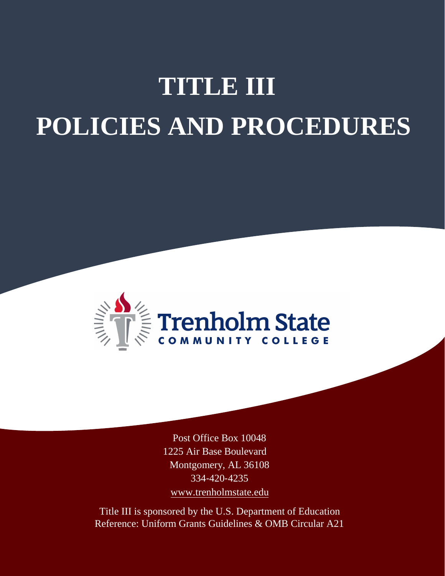# **TITLE III POLICIES AND PROCEDURES**



Post Office Box 10048 1225 Air Base Boulevard Montgomery, AL 36108 334‐420‐4235 [www.trenholmstate.edu](http://www.trenholmstate.edu/)

Title III is sponsored by the U.S. Department of Education Reference: Uniform Grants Guidelines & OMB Circular A21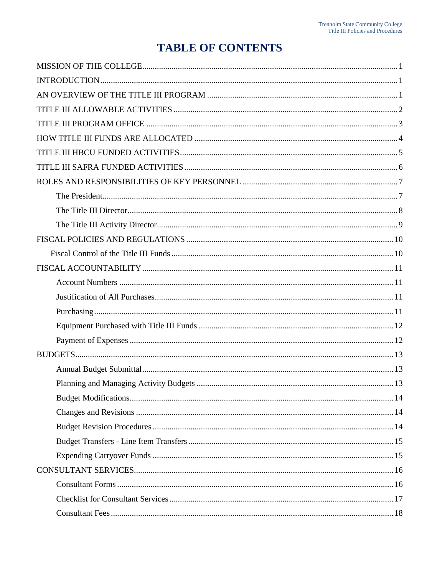# **TABLE OF CONTENTS**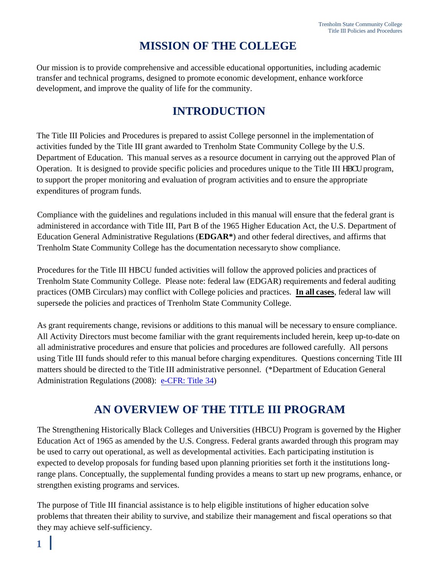# **MISSION OF THE COLLEGE**

Our mission is to provide comprehensive and accessible educational opportunities, including academic transfer and technical programs, designed to promote economic development, enhance workforce development, and improve the quality of life for the community.

# **INTRODUCTION**

The Title III Policies and Procedures is prepared to assist College personnel in the implementation of activities funded by the Title III grant awarded to Trenholm State Community College by the U.S. Department of Education. This manual serves as a resource document in carrying out the approved Plan of Operation. It is designed to provide specific policies and procedures unique to the Title III HBCU program, to support the proper monitoring and evaluation of program activities and to ensure the appropriate expenditures of program funds.

Compliance with the guidelines and regulations included in this manual will ensure that the federal grant is administered in accordance with Title III, Part B of the 1965 Higher Education Act, the U.S. Department of Education General Administrative Regulations (**EDGAR\***) and other federal directives, and affirms that Trenholm State Community College has the documentation necessary to show compliance.

Procedures for the Title III HBCU funded activities will follow the approved policies and practices of Trenholm State Community College. Please note: federal law (EDGAR) requirements and federal auditing practices (OMB Circulars) may conflict with College policies and practices. **In all cases**, federal law will supersede the policies and practices of Trenholm State Community College.

As grant requirements change, revisions or additions to this manual will be necessary to ensure compliance. All Activity Directors must become familiar with the grant requirementsincluded herein, keep up-to-date on all administrative procedures and ensure that policies and procedures are followed carefully. All persons using Title III funds should refer to this manual before charging expenditures. Questions concerning Title III matters should be directed to the Title III administrative personnel. (\*Department of Education General Administration Regulations (2008): e-CFR: Title 34)

# **AN OVERVIEW OF THE TITLE III PROGRAM**

The Strengthening Historically Black Colleges and Universities (HBCU) Program is governed by the Higher Education Act of 1965 as amended by the U.S. Congress. Federal grants awarded through this program may be used to carry out operational, as well as developmental activities. Each participating institution is expected to develop proposals for funding based upon planning priorities set forth it the institutions longrange plans. Conceptually, the supplemental funding provides a means to start up new programs, enhance, or strengthen existing programs and services.

The purpose of Title III financial assistance is to help eligible institutions of higher education solve problems that threaten their ability to survive, and stabilize their management and fiscal operations so that they may achieve self-sufficiency.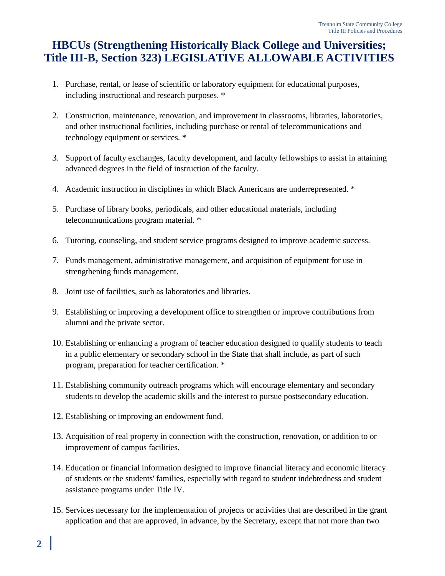# <span id="page-4-0"></span>**HBCUs (Strengthening Historically Black College and Universities; Title III-B, Section 323) LEGISLATIVE ALLOWABLE ACTIVITIES**

- 1. Purchase, rental, or lease of scientific or laboratory equipment for educational purposes, including instructional and research purposes. \*
- 2. Construction, maintenance, renovation, and improvement in classrooms, libraries, laboratories, and other instructional facilities, including purchase or rental of telecommunications and technology equipment or services. \*
- 3. Support of faculty exchanges, faculty development, and faculty fellowships to assist in attaining advanced degrees in the field of instruction of the faculty.
- 4. Academic instruction in disciplines in which Black Americans are underrepresented. \*
- 5. Purchase of library books, periodicals, and other educational materials, including telecommunications program material. \*
- 6. Tutoring, counseling, and student service programs designed to improve academic success.
- 7. Funds management, administrative management, and acquisition of equipment for use in strengthening funds management.
- 8. Joint use of facilities, such as laboratories and libraries.
- 9. Establishing or improving a development office to strengthen or improve contributions from alumni and the private sector.
- 10. Establishing or enhancing a program of teacher education designed to qualify students to teach in a public elementary or secondary school in the State that shall include, as part of such program, preparation for teacher certification. \*
- 11. Establishing community outreach programs which will encourage elementary and secondary students to develop the academic skills and the interest to pursue postsecondary education.
- 12. Establishing or improving an endowment fund.
- 13. Acquisition of real property in connection with the construction, renovation, or addition to or improvement of campus facilities.
- 14. Education or financial information designed to improve financial literacy and economic literacy of students or the students' families, especially with regard to student indebtedness and student assistance programs under Title IV.
- 15. Services necessary for the implementation of projects or activities that are described in the grant application and that are approved, in advance, by the Secretary, except that not more than two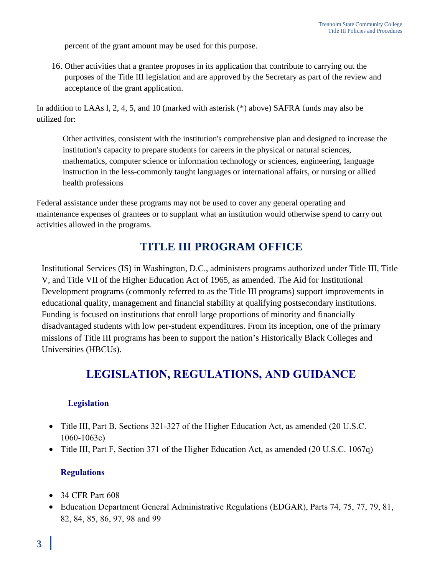percent of the grant amount may be used for this purpose.

16. Other activities that a grantee proposes in its application that contribute to carrying out the purposes of the Title III legislation and are approved by the Secretary as part of the review and acceptance of the grant application.

In addition to LAAs l, 2, 4, 5, and 10 (marked with asterisk (\*) above) SAFRA funds may also be utilized for:

Other activities, consistent with the institution's comprehensive plan and designed to increase the institution's capacity to prepare students for careers in the physical or natural sciences, mathematics, computer science or information technology or sciences, engineering, language instruction in the less-commonly taught languages or international affairs, or nursing or allied health professions

Federal assistance under these programs may not be used to cover any general operating and maintenance expenses of grantees or to supplant what an institution would otherwise spend to carry out activities allowed in the programs.

# **TITLE III PROGRAM OFFICE**

Institutional Services (IS) in Washington, D.C., administers programs authorized under Title III, Title V, and Title VII of the Higher Education Act of 1965, as amended. The Aid for Institutional Development programs (commonly referred to as the Title III programs) support improvements in educational quality, management and financial stability at qualifying postsecondary institutions. Funding is focused on institutions that enroll large proportions of minority and financially disadvantaged students with low per-student expenditures. From its inception, one of the primary missions of Title III programs has been to support the nation's Historically Black Colleges and Universities (HBCUs).

# **LEGISLATION, REGULATIONS, AND GUIDANCE**

#### **Legislation**

- Title III, Part B, Sections 321-327 of the Higher Education Act, as amended (20 U.S.C. 1060-1063c)
- Title III, Part F, Section 371 of the Higher Education Act, as amended (20 U.S.C. 1067q)

#### **Regulations**

- 34 CFR Part 608
- Education Department General Administrative Regulations (EDGAR), Parts 74, 75, 77, 79, 81, 82, 84, 85, 86, 97, 98 and 99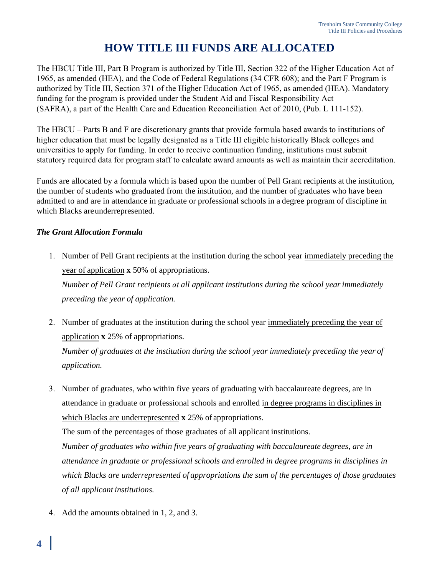# **HOW TITLE III FUNDS ARE ALLOCATED**

<span id="page-6-0"></span>The HBCU Title III, Part B Program is authorized by Title III, Section 322 of the Higher Education Act of 1965, as amended (HEA), and the Code of Federal Regulations (34 CFR 608); and the Part F Program is authorized by Title III, Section 371 of the Higher Education Act of 1965, as amended (HEA). Mandatory funding for the program is provided under the Student Aid and Fiscal Responsibility Act (SAFRA), a part of the Health Care and Education Reconciliation Act of 2010, (Pub. L 111-152).

The HBCU – Parts B and F are discretionary grants that provide formula based awards to institutions of higher education that must be legally designated as a Title III eligible historically Black colleges and universities to apply for funding. In order to receive continuation funding, institutions must submit statutory required data for program staff to calculate award amounts as well as maintain their accreditation.

Funds are allocated by a formula which is based upon the number of Pell Grant recipients at the institution, the number of students who graduated from the institution, and the number of graduates who have been admitted to and are in attendance in graduate or professional schools in a degree program of discipline in which Blacks are underrepresented.

#### *The Grant Allocation Formula*

- 1. Number of Pell Grant recipients at the institution during the school year immediately preceding the year of application **x** 50% of appropriations. *Number of Pell Grant recipients at all applicant institutions during the school year immediately preceding the year of application.*
- 2. Number of graduates at the institution during the school year immediately preceding the year of application **x** 25% of appropriations.

*Number of graduates at the institution during the school year immediately preceding the year of application.*

3. Number of graduates, who within five years of graduating with baccalaureate degrees, are in attendance in graduate or professional schools and enrolled in degree programs in disciplines in which Blacks are underrepresented **x** 25% of appropriations.

The sum of the percentages of those graduates of all applicant institutions.

*Number of graduates who within five years of graduating with baccalaureate degrees, are in attendance in graduate or professional schools and enrolled in degree programs in disciplines in which Blacks are underrepresented of appropriations the sum of the percentages of those graduates of all applicant institutions.*

4. Add the amounts obtained in 1, 2, and 3.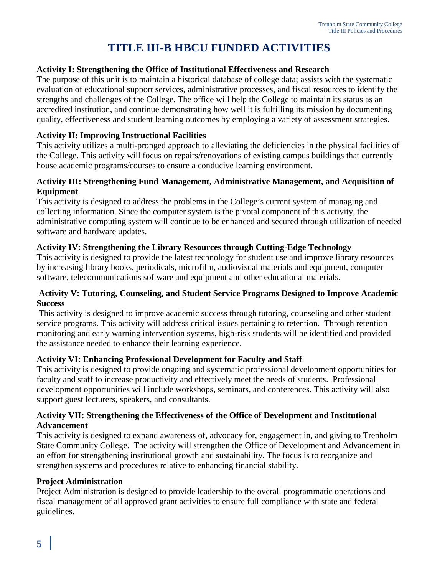# **TITLE III-B HBCU FUNDED ACTIVITIES**

#### **Activity I: Strengthening the Office of Institutional Effectiveness and Research**

The purpose of this unit is to maintain a historical database of college data; assists with the systematic evaluation of educational support services, administrative processes, and fiscal resources to identify the strengths and challenges of the College. The office will help the College to maintain its status as an accredited institution, and continue demonstrating how well it is fulfilling its mission by documenting quality, effectiveness and student learning outcomes by employing a variety of assessment strategies.

#### **Activity II: Improving Instructional Facilities**

This activity utilizes a multi-pronged approach to alleviating the deficiencies in the physical facilities of the College. This activity will focus on repairs/renovations of existing campus buildings that currently house academic programs/courses to ensure a conducive learning environment.

#### **Activity III: Strengthening Fund Management, Administrative Management, and Acquisition of Equipment**

This activity is designed to address the problems in the College's current system of managing and collecting information. Since the computer system is the pivotal component of this activity, the administrative computing system will continue to be enhanced and secured through utilization of needed software and hardware updates.

#### **Activity IV: Strengthening the Library Resources through Cutting-Edge Technology**

This activity is designed to provide the latest technology for student use and improve library resources by increasing library books, periodicals, microfilm, audiovisual materials and equipment, computer software, telecommunications software and equipment and other educational materials.

#### **Activity V: Tutoring, Counseling, and Student Service Programs Designed to Improve Academic Success**

This activity is designed to improve academic success through tutoring, counseling and other student service programs. This activity will address critical issues pertaining to retention. Through retention monitoring and early warning intervention systems, high-risk students will be identified and provided the assistance needed to enhance their learning experience.

#### **Activity VI: Enhancing Professional Development for Faculty and Staff**

This activity is designed to provide ongoing and systematic professional development opportunities for faculty and staff to increase productivity and effectively meet the needs of students. Professional development opportunities will include workshops, seminars, and conferences. This activity will also support guest lecturers, speakers, and consultants.

#### **Activity VII: Strengthening the Effectiveness of the Office of Development and Institutional Advancement**

This activity is designed to expand awareness of, advocacy for, engagement in, and giving to Trenholm State Community College. The activity will strengthen the Office of Development and Advancement in an effort for strengthening institutional growth and sustainability. The focus is to reorganize and strengthen systems and procedures relative to enhancing financial stability.

#### **Project Administration**

Project Administration is designed to provide leadership to the overall programmatic operations and fiscal management of all approved grant activities to ensure full compliance with state and federal guidelines.

ı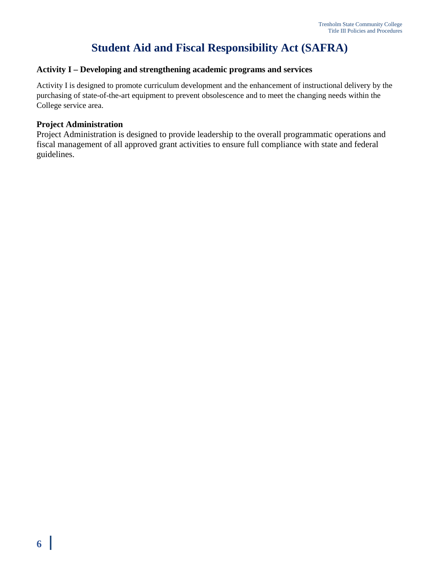# **Student Aid and Fiscal Responsibility Act (SAFRA)**

#### **Activity I – Developing and strengthening academic programs and services**

Activity I is designed to promote curriculum development and the enhancement of instructional delivery by the purchasing of state-of-the-art equipment to prevent obsolescence and to meet the changing needs within the College service area.

#### **Project Administration**

Project Administration is designed to provide leadership to the overall programmatic operations and fiscal management of all approved grant activities to ensure full compliance with state and federal guidelines.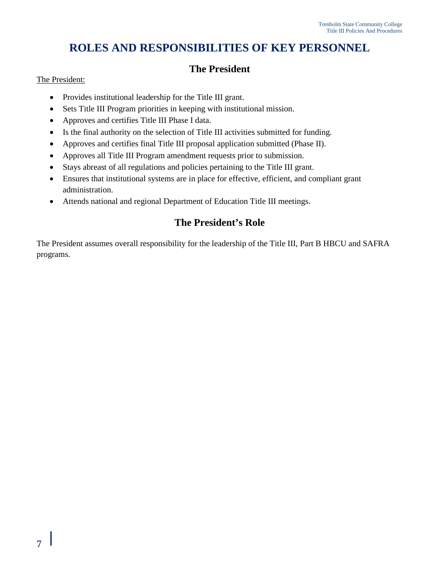# **ROLES AND RESPONSIBILITIES OF KEY PERSONNEL**

# **The President**

#### The President:

- Provides institutional leadership for the Title III grant.
- Sets Title III Program priorities in keeping with institutional mission.
- Approves and certifies Title III Phase I data.
- Is the final authority on the selection of Title III activities submitted for funding.
- Approves and certifies final Title III proposal application submitted (Phase II).
- Approves all Title III Program amendment requests prior to submission.
- Stays abreast of all regulations and policies pertaining to the Title III grant.
- Ensures that institutional systems are in place for effective, efficient, and compliant grant administration.
- Attends national and regional Department of Education Title III meetings.

### **The President's Role**

The President assumes overall responsibility for the leadership of the Title III, Part B HBCU and SAFRA programs.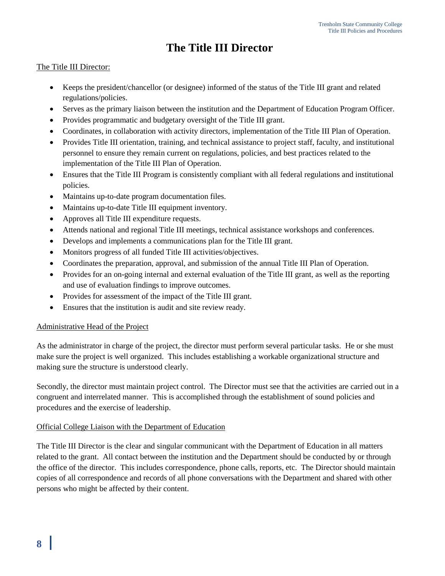# **The Title III Director**

#### The Title III Director:

- Keeps the president/chancellor (or designee) informed of the status of the Title III grant and related regulations/policies.
- Serves as the primary liaison between the institution and the Department of Education Program Officer.
- Provides programmatic and budgetary oversight of the Title III grant.
- Coordinates, in collaboration with activity directors, implementation of the Title III Plan of Operation.
- Provides Title III orientation, training, and technical assistance to project staff, faculty, and institutional personnel to ensure they remain current on regulations, policies, and best practices related to the implementation of the Title III Plan of Operation.
- Ensures that the Title III Program is consistently compliant with all federal regulations and institutional policies.
- Maintains up-to-date program documentation files.
- Maintains up-to-date Title III equipment inventory.
- Approves all Title III expenditure requests.
- Attends national and regional Title III meetings, technical assistance workshops and conferences.
- Develops and implements a communications plan for the Title III grant.
- Monitors progress of all funded Title III activities/objectives.
- Coordinates the preparation, approval, and submission of the annual Title III Plan of Operation.
- Provides for an on-going internal and external evaluation of the Title III grant, as well as the reporting and use of evaluation findings to improve outcomes.
- Provides for assessment of the impact of the Title III grant.
- Ensures that the institution is audit and site review ready.

#### Administrative Head of the Project

As the administrator in charge of the project, the director must perform several particular tasks. He or she must make sure the project is well organized. This includes establishing a workable organizational structure and making sure the structure is understood clearly.

Secondly, the director must maintain project control. The Director must see that the activities are carried out in a congruent and interrelated manner. This is accomplished through the establishment of sound policies and procedures and the exercise of leadership.

#### Official College Liaison with the Department of Education

The Title III Director is the clear and singular communicant with the Department of Education in all matters related to the grant. All contact between the institution and the Department should be conducted by or through the office of the director. This includes correspondence, phone calls, reports, etc. The Director should maintain copies of all correspondence and records of all phone conversations with the Department and shared with other persons who might be affected by their content.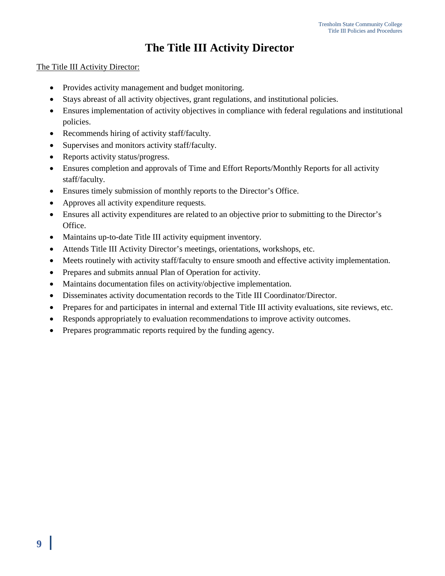# **The Title III Activity Director**

#### The Title III Activity Director:

- Provides activity management and budget monitoring.
- Stays abreast of all activity objectives, grant regulations, and institutional policies.
- Ensures implementation of activity objectives in compliance with federal regulations and institutional policies.
- Recommends hiring of activity staff/faculty.
- Supervises and monitors activity staff/faculty.
- Reports activity status/progress.
- Ensures completion and approvals of Time and Effort Reports/Monthly Reports for all activity staff/faculty.
- Ensures timely submission of monthly reports to the Director's Office.
- Approves all activity expenditure requests.
- Ensures all activity expenditures are related to an objective prior to submitting to the Director's Office.
- Maintains up-to-date Title III activity equipment inventory.
- Attends Title III Activity Director's meetings, orientations, workshops, etc.
- Meets routinely with activity staff/faculty to ensure smooth and effective activity implementation.
- Prepares and submits annual Plan of Operation for activity.
- Maintains documentation files on activity/objective implementation.
- Disseminates activity documentation records to the Title III Coordinator/Director.
- Prepares for and participates in internal and external Title III activity evaluations, site reviews, etc.
- Responds appropriately to evaluation recommendations to improve activity outcomes.
- Prepares programmatic reports required by the funding agency.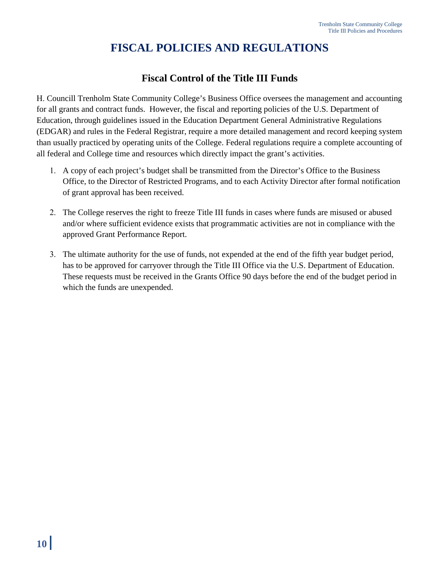# **FISCAL POLICIES AND REGULATIONS**

### **Fiscal Control of the Title III Funds**

H. Councill Trenholm State Community College's Business Office oversees the management and accounting for all grants and contract funds. However, the fiscal and reporting policies of the U.S. Department of Education, through guidelines issued in the Education Department General Administrative Regulations (EDGAR) and rules in the Federal Registrar, require a more detailed management and record keeping system than usually practiced by operating units of the College. Federal regulations require a complete accounting of all federal and College time and resources which directly impact the grant's activities.

- 1. A copy of each project's budget shall be transmitted from the Director's Office to the Business Office, to the Director of Restricted Programs, and to each Activity Director after formal notification of grant approval has been received.
- 2. The College reserves the right to freeze Title III funds in cases where funds are misused or abused and/or where sufficient evidence exists that programmatic activities are not in compliance with the approved Grant Performance Report.
- 3. The ultimate authority for the use of funds, not expended at the end of the fifth year budget period, has to be approved for carryover through the Title III Office via the U.S. Department of Education. These requests must be received in the Grants Office 90 days before the end of the budget period in which the funds are unexpended.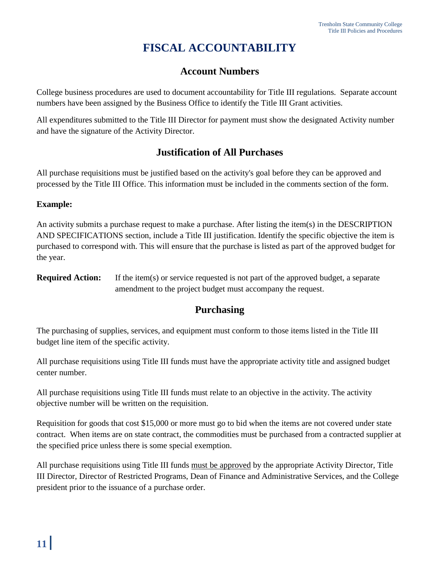# **FISCAL ACCOUNTABILITY**

# **Account Numbers**

College business procedures are used to document accountability for Title III regulations. Separate account numbers have been assigned by the Business Office to identify the Title III Grant activities.

All expenditures submitted to the Title III Director for payment must show the designated Activity number and have the signature of the Activity Director.

### **Justification of All Purchases**

All purchase requisitions must be justified based on the activity's goal before they can be approved and processed by the Title III Office. This information must be included in the comments section of the form.

#### **Example:**

An activity submits a purchase request to make a purchase. After listing the item(s) in the DESCRIPTION AND SPECIFICATIONS section, include a Title III justification. Identify the specific objective the item is purchased to correspond with. This will ensure that the purchase is listed as part of the approved budget for the year.

**Required Action:** If the item(s) or service requested is not part of the approved budget, a separate amendment to the project budget must accompany the request.

### **Purchasing**

The purchasing of supplies, services, and equipment must conform to those items listed in the Title III budget line item of the specific activity.

All purchase requisitions using Title III funds must have the appropriate activity title and assigned budget center number.

All purchase requisitions using Title III funds must relate to an objective in the activity. The activity objective number will be written on the requisition.

Requisition for goods that cost \$15,000 or more must go to bid when the items are not covered under state contract. When items are on state contract, the commodities must be purchased from a contracted supplier at the specified price unless there is some special exemption.

All purchase requisitions using Title III funds must be approved by the appropriate Activity Director, Title III Director, Director of Restricted Programs, Dean of Finance and Administrative Services, and the College president prior to the issuance of a purchase order.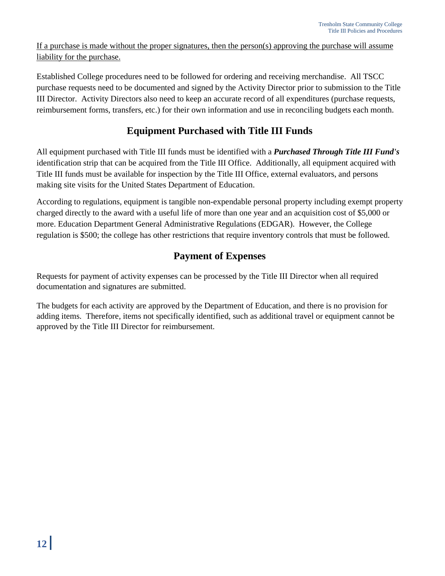If a purchase is made without the proper signatures, then the person(s) approving the purchase will assume liability for the purchase.

Established College procedures need to be followed for ordering and receiving merchandise. All TSCC purchase requests need to be documented and signed by the Activity Director prior to submission to the Title III Director. Activity Directors also need to keep an accurate record of all expenditures (purchase requests, reimbursement forms, transfers, etc.) for their own information and use in reconciling budgets each month.

# **Equipment Purchased with Title III Funds**

All equipment purchased with Title III funds must be identified with a *Purchased Through Title III Fund's*  identification strip that can be acquired from the Title III Office. Additionally, all equipment acquired with Title III funds must be available for inspection by the Title III Office, external evaluators, and persons making site visits for the United States Department of Education.

According to regulations, equipment is tangible non-expendable personal property including exempt property charged directly to the award with a useful life of more than one year and an acquisition cost of \$5,000 or more. Education Department General Administrative Regulations (EDGAR). However, the College regulation is \$500; the college has other restrictions that require inventory controls that must be followed.

# **Payment of Expenses**

Requests for payment of activity expenses can be processed by the Title III Director when all required documentation and signatures are submitted.

The budgets for each activity are approved by the Department of Education, and there is no provision for adding items. Therefore, items not specifically identified, such as additional travel or equipment cannot be approved by the Title III Director for reimbursement.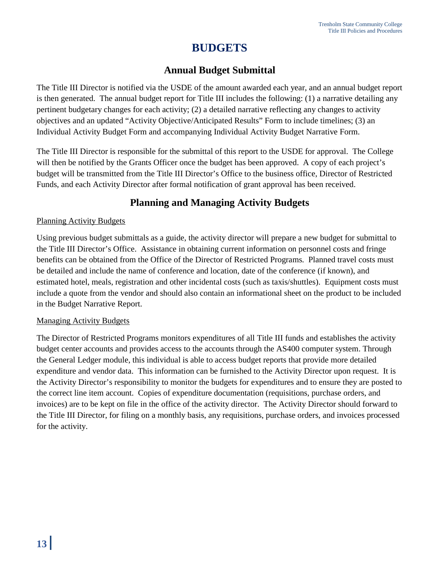# **BUDGETS**

### **Annual Budget Submittal**

The Title III Director is notified via the USDE of the amount awarded each year, and an annual budget report is then generated. The annual budget report for Title III includes the following: (1) a narrative detailing any pertinent budgetary changes for each activity; (2) a detailed narrative reflecting any changes to activity objectives and an updated "Activity Objective/Anticipated Results" Form to include timelines; (3) an Individual Activity Budget Form and accompanying Individual Activity Budget Narrative Form.

The Title III Director is responsible for the submittal of this report to the USDE for approval. The College will then be notified by the Grants Officer once the budget has been approved. A copy of each project's budget will be transmitted from the Title III Director's Office to the business office, Director of Restricted Funds, and each Activity Director after formal notification of grant approval has been received.

### **Planning and Managing Activity Budgets**

#### Planning Activity Budgets

Using previous budget submittals as a guide, the activity director will prepare a new budget for submittal to the Title III Director's Office. Assistance in obtaining current information on personnel costs and fringe benefits can be obtained from the Office of the Director of Restricted Programs. Planned travel costs must be detailed and include the name of conference and location, date of the conference (if known), and estimated hotel, meals, registration and other incidental costs (such as taxis/shuttles). Equipment costs must include a quote from the vendor and should also contain an informational sheet on the product to be included in the Budget Narrative Report.

#### Managing Activity Budgets

The Director of Restricted Programs monitors expenditures of all Title III funds and establishes the activity budget center accounts and provides access to the accounts through the AS400 computer system. Through the General Ledger module, this individual is able to access budget reports that provide more detailed expenditure and vendor data. This information can be furnished to the Activity Director upon request. It is the Activity Director's responsibility to monitor the budgets for expenditures and to ensure they are posted to the correct line item account. Copies of expenditure documentation (requisitions, purchase orders, and invoices) are to be kept on file in the office of the activity director. The Activity Director should forward to the Title III Director, for filing on a monthly basis, any requisitions, purchase orders, and invoices processed for the activity.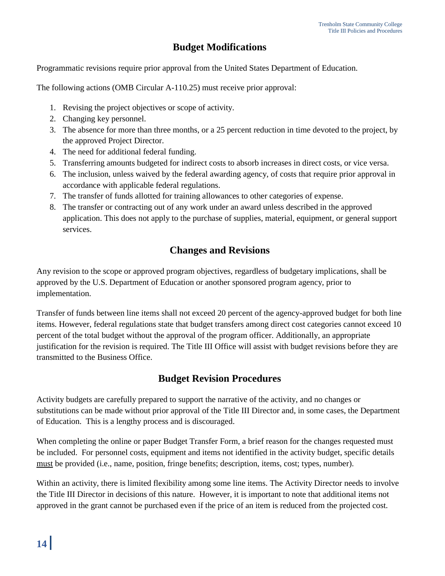# **Budget Modifications**

Programmatic revisions require prior approval from the United States Department of Education.

The following actions (OMB Circular A-110.25) must receive prior approval:

- 1. Revising the project objectives or scope of activity.
- 2. Changing key personnel.
- 3. The absence for more than three months, or a 25 percent reduction in time devoted to the project, by the approved Project Director.
- 4. The need for additional federal funding.
- 5. Transferring amounts budgeted for indirect costs to absorb increases in direct costs, or vice versa.
- 6. The inclusion, unless waived by the federal awarding agency, of costs that require prior approval in accordance with applicable federal regulations.
- 7. The transfer of funds allotted for training allowances to other categories of expense.
- 8. The transfer or contracting out of any work under an award unless described in the approved application. This does not apply to the purchase of supplies, material, equipment, or general support services.

### **Changes and Revisions**

Any revision to the scope or approved program objectives, regardless of budgetary implications, shall be approved by the U.S. Department of Education or another sponsored program agency, prior to implementation.

Transfer of funds between line items shall not exceed 20 percent of the agency-approved budget for both line items. However, federal regulations state that budget transfers among direct cost categories cannot exceed 10 percent of the total budget without the approval of the program officer. Additionally, an appropriate justification for the revision is required. The Title III Office will assist with budget revisions before they are transmitted to the Business Office.

### **Budget Revision Procedures**

Activity budgets are carefully prepared to support the narrative of the activity, and no changes or substitutions can be made without prior approval of the Title III Director and, in some cases, the Department of Education. This is a lengthy process and is discouraged.

When completing the online or paper Budget Transfer Form, a brief reason for the changes requested must be included. For personnel costs, equipment and items not identified in the activity budget, specific details must be provided (i.e., name, position, fringe benefits; description, items, cost; types, number).

Within an activity, there is limited flexibility among some line items. The Activity Director needs to involve the Title III Director in decisions of this nature. However, it is important to note that additional items not approved in the grant cannot be purchased even if the price of an item is reduced from the projected cost.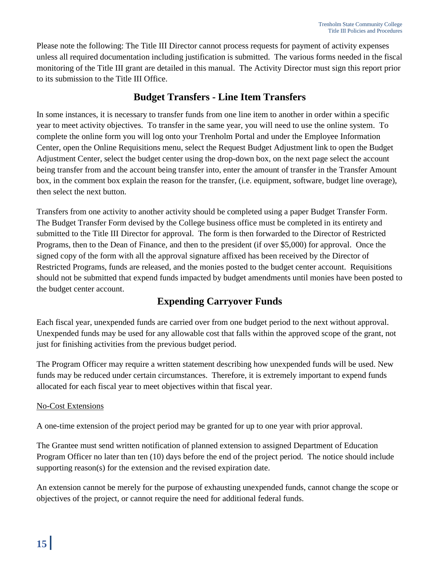Please note the following: The Title III Director cannot process requests for payment of activity expenses unless all required documentation including justification is submitted. The various forms needed in the fiscal monitoring of the Title III grant are detailed in this manual. The Activity Director must sign this report prior to its submission to the Title III Office.

### **Budget Transfers - Line Item Transfers**

In some instances, it is necessary to transfer funds from one line item to another in order within a specific year to meet activity objectives. To transfer in the same year, you will need to use the online system. To complete the online form you will log onto your Trenholm Portal and under the Employee Information Center, open the Online Requisitions menu, select the Request Budget Adjustment link to open the Budget Adjustment Center, select the budget center using the drop-down box, on the next page select the account being transfer from and the account being transfer into, enter the amount of transfer in the Transfer Amount box, in the comment box explain the reason for the transfer, (i.e. equipment, software, budget line overage), then select the next button.

Transfers from one activity to another activity should be completed using a paper Budget Transfer Form. The Budget Transfer Form devised by the College business office must be completed in its entirety and submitted to the Title III Director for approval. The form is then forwarded to the Director of Restricted Programs, then to the Dean of Finance, and then to the president (if over \$5,000) for approval. Once the signed copy of the form with all the approval signature affixed has been received by the Director of Restricted Programs, funds are released, and the monies posted to the budget center account. Requisitions should not be submitted that expend funds impacted by budget amendments until monies have been posted to the budget center account.

# **Expending Carryover Funds**

Each fiscal year, unexpended funds are carried over from one budget period to the next without approval. Unexpended funds may be used for any allowable cost that falls within the approved scope of the grant, not just for finishing activities from the previous budget period.

The Program Officer may require a written statement describing how unexpended funds will be used. New funds may be reduced under certain circumstances. Therefore, it is extremely important to expend funds allocated for each fiscal year to meet objectives within that fiscal year.

#### No-Cost Extensions

A one-time extension of the project period may be granted for up to one year with prior approval.

The Grantee must send written notification of planned extension to assigned Department of Education Program Officer no later than ten (10) days before the end of the project period. The notice should include supporting reason(s) for the extension and the revised expiration date.

An extension cannot be merely for the purpose of exhausting unexpended funds, cannot change the scope or objectives of the project, or cannot require the need for additional federal funds.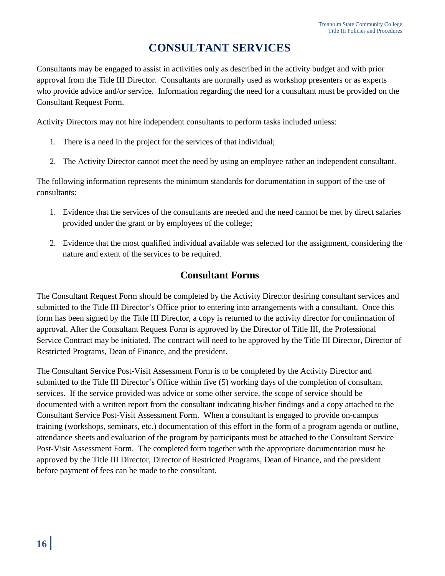# **CONSULTANT SERVICES**

Consultants may be engaged to assist in activities only as described in the activity budget and with prior approval from the Title III Director. Consultants are normally used as workshop presenters or as experts who provide advice and/or service. Information regarding the need for a consultant must be provided on the Consultant Request Form.

Activity Directors may not hire independent consultants to perform tasks included unless:

- 1. There is a need in the project for the services of that individual;
- 2. The Activity Director cannot meet the need by using an employee rather an independent consultant.

The following information represents the minimum standards for documentation in support of the use of consultants:

- 1. Evidence that the services of the consultants are needed and the need cannot be met by direct salaries provided under the grant or by employees of the college;
- 2. Evidence that the most qualified individual available was selected for the assignment, considering the nature and extent of the services to be required.

### **Consultant Forms**

The Consultant Request Form should be completed by the Activity Director desiring consultant services and submitted to the Title III Director's Office prior to entering into arrangements with a consultant. Once this form has been signed by the Title III Director, a copy is returned to the activity director for confirmation of approval. After the Consultant Request Form is approved by the Director of Title III, the Professional Service Contract may be initiated. The contract will need to be approved by the Title III Director, Director of Restricted Programs, Dean of Finance, and the president.

The Consultant Service Post-Visit Assessment Form is to be completed by the Activity Director and submitted to the Title III Director's Office within five (5) working days of the completion of consultant services. If the service provided was advice or some other service, the scope of service should be documented with a written report from the consultant indicating his/her findings and a copy attached to the Consultant Service Post-Visit Assessment Form. When a consultant is engaged to provide on-campus training (workshops, seminars, etc.) documentation of this effort in the form of a program agenda or outline, attendance sheets and evaluation of the program by participants must be attached to the Consultant Service Post-Visit Assessment Form. The completed form together with the appropriate documentation must be approved by the Title III Director, Director of Restricted Programs, Dean of Finance, and the president before payment of fees can be made to the consultant.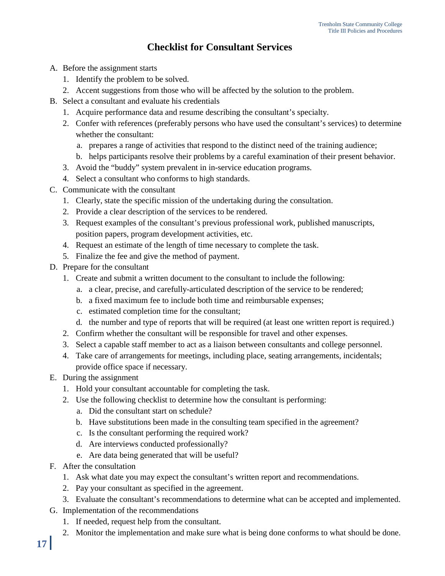# **Checklist for Consultant Services**

- A. Before the assignment starts
	- 1. Identify the problem to be solved.
	- 2. Accent suggestions from those who will be affected by the solution to the problem.
- B. Select a consultant and evaluate his credentials
	- 1. Acquire performance data and resume describing the consultant's specialty.
	- 2. Confer with references (preferably persons who have used the consultant's services) to determine whether the consultant:
		- a. prepares a range of activities that respond to the distinct need of the training audience;
		- b. helps participants resolve their problems by a careful examination of their present behavior.
	- 3. Avoid the "buddy" system prevalent in in-service education programs.
	- 4. Select a consultant who conforms to high standards.
- C. Communicate with the consultant
	- 1. Clearly, state the specific mission of the undertaking during the consultation.
	- 2. Provide a clear description of the services to be rendered.
	- 3. Request examples of the consultant's previous professional work, published manuscripts, position papers, program development activities, etc.
	- 4. Request an estimate of the length of time necessary to complete the task.
	- 5. Finalize the fee and give the method of payment.
- D. Prepare for the consultant
	- 1. Create and submit a written document to the consultant to include the following:
		- a. a clear, precise, and carefully-articulated description of the service to be rendered;
		- b. a fixed maximum fee to include both time and reimbursable expenses;
		- c. estimated completion time for the consultant;
		- d. the number and type of reports that will be required (at least one written report is required.)
	- 2. Confirm whether the consultant will be responsible for travel and other expenses.
	- 3. Select a capable staff member to act as a liaison between consultants and college personnel.
	- 4. Take care of arrangements for meetings, including place, seating arrangements, incidentals; provide office space if necessary.
- E. During the assignment
	- 1. Hold your consultant accountable for completing the task.
	- 2. Use the following checklist to determine how the consultant is performing:
		- a. Did the consultant start on schedule?
		- b. Have substitutions been made in the consulting team specified in the agreement?
		- c. Is the consultant performing the required work?
		- d. Are interviews conducted professionally?
		- e. Are data being generated that will be useful?
- F. After the consultation
	- 1. Ask what date you may expect the consultant's written report and recommendations.
	- 2. Pay your consultant as specified in the agreement.
	- 3. Evaluate the consultant's recommendations to determine what can be accepted and implemented.
- G. Implementation of the recommendations
	- 1. If needed, request help from the consultant.
	- 2. Monitor the implementation and make sure what is being done conforms to what should be done.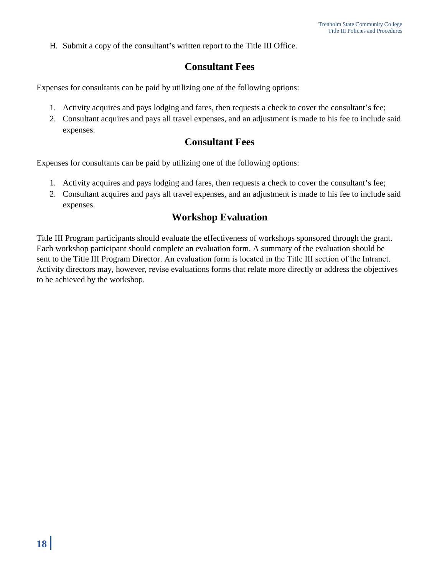H. Submit a copy of the consultant's written report to the Title III Office.

### **Consultant Fees**

Expenses for consultants can be paid by utilizing one of the following options:

- 1. Activity acquires and pays lodging and fares, then requests a check to cover the consultant's fee;
- 2. Consultant acquires and pays all travel expenses, and an adjustment is made to his fee to include said expenses.

#### **Consultant Fees**

Expenses for consultants can be paid by utilizing one of the following options:

- 1. Activity acquires and pays lodging and fares, then requests a check to cover the consultant's fee;
- 2. Consultant acquires and pays all travel expenses, and an adjustment is made to his fee to include said expenses.

### **Workshop Evaluation**

Title III Program participants should evaluate the effectiveness of workshops sponsored through the grant. Each workshop participant should complete an evaluation form. A summary of the evaluation should be sent to the Title III Program Director. An evaluation form is located in the Title III section of the Intranet. Activity directors may, however, revise evaluations forms that relate more directly or address the objectives to be achieved by the workshop.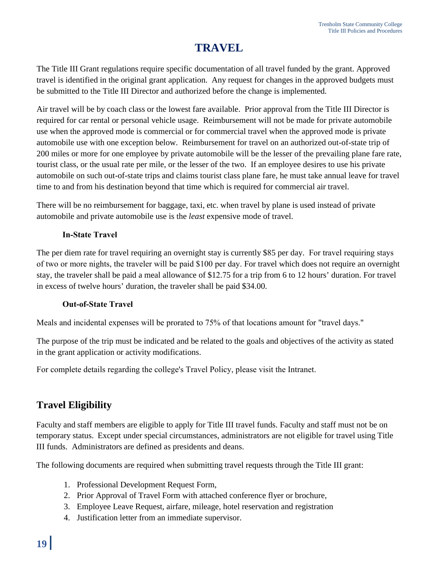# **TRAVEL**

The Title III Grant regulations require specific documentation of all travel funded by the grant. Approved travel is identified in the original grant application. Any request for changes in the approved budgets must be submitted to the Title III Director and authorized before the change is implemented.

Air travel will be by coach class or the lowest fare available. Prior approval from the Title III Director is required for car rental or personal vehicle usage. Reimbursement will not be made for private automobile use when the approved mode is commercial or for commercial travel when the approved mode is private automobile use with one exception below. Reimbursement for travel on an authorized out-of-state trip of 200 miles or more for one employee by private automobile will be the lesser of the prevailing plane fare rate, tourist class, or the usual rate per mile, or the lesser of the two. If an employee desires to use his private automobile on such out-of-state trips and claims tourist class plane fare, he must take annual leave for travel time to and from his destination beyond that time which is required for commercial air travel.

There will be no reimbursement for baggage, taxi, etc. when travel by plane is used instead of private automobile and private automobile use is the *least* expensive mode of travel.

#### **In-State Travel**

The per diem rate for travel requiring an overnight stay is currently \$85 per day. For travel requiring stays of two or more nights, the traveler will be paid \$100 per day. For travel which does not require an overnight stay, the traveler shall be paid a meal allowance of \$12.75 for a trip from 6 to 12 hours' duration. For travel in excess of twelve hours' duration, the traveler shall be paid \$34.00.

#### **Out-of-State Travel**

[Meals and incidental expenses will be prorated to 75% of that locations amount for "travel days."](http://intranet.trenholmstate.edu/TSTC%20INTRANET%202.0/PUBLICATIONS%20PAGE/INFORMATIONAL/Business_Office/OVERVIEW%20OF%20UPDATED%20TRAVEL%20POLICY.pdf)

[The purpose of the trip must be indicated and be related to the goal](http://intranet.trenholmstate.edu/TSTC%20INTRANET%202.0/PUBLICATIONS%20PAGE/INFORMATIONAL/Business_Office/OVERVIEW%20OF%20UPDATED%20TRAVEL%20POLICY.pdf)s and objectives of the activity as stated in the grant application or activity modifications.

For complete details regarding the college's Travel Policy, please visit the Intranet.

# **Travel Eligibility**

Faculty and staff members are eligible to apply for Title III travel funds. Faculty and staff must not be on temporary status. Except under special circumstances, administrators are not eligible for travel using Title III funds. Administrators are defined as presidents and deans.

The following documents are required when submitting travel requests through the Title III grant:

- 1. Professional Development Request Form,
- 2. Prior Approval of Travel Form with attached conference flyer or brochure,
- 3. Employee Leave Request, airfare, mileage, hotel reservation and registration
- 4. Justification letter from an immediate supervisor.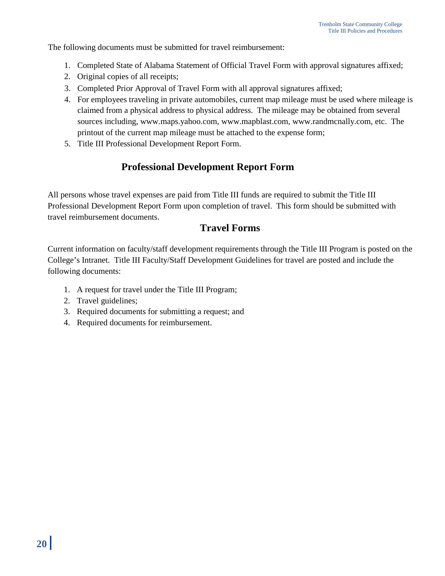The following documents must be submitted for travel reimbursement:

- 1. Completed State of Alabama Statement of Official Travel Form with approval signatures affixed;
- 2. Original copies of all receipts;
- 3. Completed Prior Approval of Travel Form with all approval signatures affixed;
- 4. For employees traveling in private automobiles, current map mileage must be used where mileage is claimed from a physical address to physical address. The mileage may be obtained from several sources including, www.maps.yahoo.com, www.mapblast.com, www.randmcnally.com, etc. The printout of the current map mileage must be attached to the expense form;
- 5. Title III Professional Development Report Form.

### **Professional Development Report Form**

All persons whose travel expenses are paid from Title III funds are required to submit the Title III Professional Development Report Form upon completion of travel. This form should be submitted with travel reimbursement documents.

### **Travel Forms**

Current information on faculty/staff development requirements through the Title III Program is posted on the College's Intranet. Title III Faculty/Staff Development Guidelines for travel are posted and include the following documents:

- 1. A request for travel under the Title III Program;
- 2. Travel guidelines;
- 3. Required documents for submitting a request; and
- 4. Required documents for reimbursement.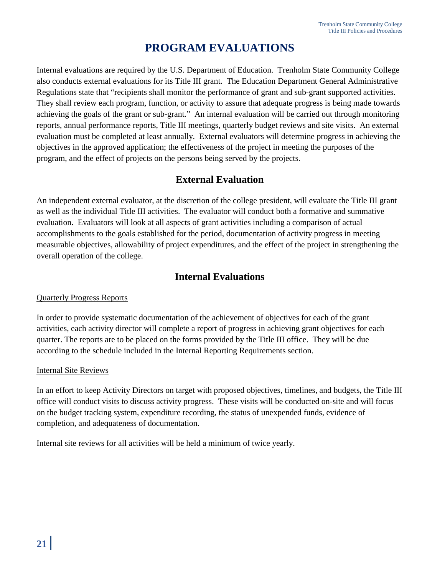# **PROGRAM EVALUATIONS**

Internal evaluations are required by the U.S. Department of Education. Trenholm State Community College also conducts external evaluations for its Title III grant. The Education Department General Administrative Regulations state that "recipients shall monitor the performance of grant and sub-grant supported activities. They shall review each program, function, or activity to assure that adequate progress is being made towards achieving the goals of the grant or sub-grant." An internal evaluation will be carried out through monitoring reports, annual performance reports, Title III meetings, quarterly budget reviews and site visits. An external evaluation must be completed at least annually. External evaluators will determine progress in achieving the objectives in the approved application; the effectiveness of the project in meeting the purposes of the program, and the effect of projects on the persons being served by the projects.

# **External Evaluation**

An independent external evaluator, at the discretion of the college president, will evaluate the Title III grant as well as the individual Title III activities. The evaluator will conduct both a formative and summative evaluation. Evaluators will look at all aspects of grant activities including a comparison of actual accomplishments to the goals established for the period, documentation of activity progress in meeting measurable objectives, allowability of project expenditures, and the effect of the project in strengthening the overall operation of the college.

### **Internal Evaluations**

#### Quarterly Progress Reports

In order to provide systematic documentation of the achievement of objectives for each of the grant activities, each activity director will complete a report of progress in achieving grant objectives for each quarter. The reports are to be placed on the forms provided by the Title III office. They will be due according to the schedule included in the Internal Reporting Requirements section.

#### Internal Site Reviews

In an effort to keep Activity Directors on target with proposed objectives, timelines, and budgets, the Title III office will conduct visits to discuss activity progress. These visits will be conducted on-site and will focus on the budget tracking system, expenditure recording, the status of unexpended funds, evidence of completion, and adequateness of documentation.

Internal site reviews for all activities will be held a minimum of twice yearly.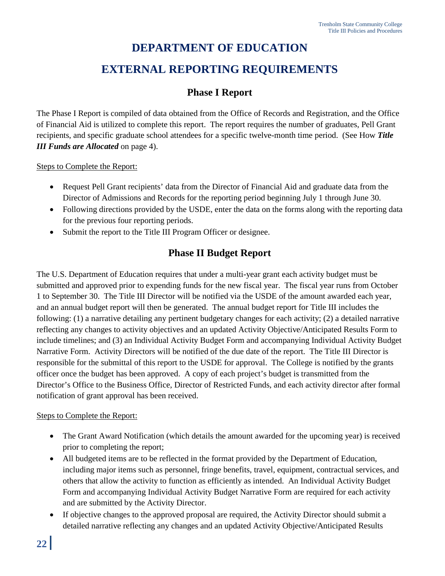# **DEPARTMENT OF EDUCATION EXTERNAL REPORTING REQUIREMENTS**

# **Phase I Report**

The Phase I Report is compiled of data obtained from the Office of Records and Registration, and the Office of Financial Aid is utilized to complete this report. The report requires the number of graduates, Pell Grant recipients, and specific graduate school attendees for a specific twelve-month time period. (See How *Title III Funds are Allocated* on page 4).

Steps to Complete the Report:

- Request Pell Grant recipients' data from the Director of Financial Aid and graduate data from the Director of Admissions and Records for the reporting period beginning July 1 through June 30.
- Following directions provided by the USDE, enter the data on the forms along with the reporting data for the previous four reporting periods.
- Submit the report to the Title III Program Officer or designee.

# **Phase II Budget Report**

The U.S. Department of Education requires that under a multi-year grant each activity budget must be submitted and approved prior to expending funds for the new fiscal year. The fiscal year runs from October 1 to September 30. The Title III Director will be notified via the USDE of the amount awarded each year, and an annual budget report will then be generated. The annual budget report for Title III includes the following: (1) a narrative detailing any pertinent budgetary changes for each activity; (2) a detailed narrative reflecting any changes to activity objectives and an updated Activity Objective/Anticipated Results Form to include timelines; and (3) an Individual Activity Budget Form and accompanying Individual Activity Budget Narrative Form. Activity Directors will be notified of the due date of the report. The Title III Director is responsible for the submittal of this report to the USDE for approval. The College is notified by the grants officer once the budget has been approved. A copy of each project's budget is transmitted from the Director's Office to the Business Office, Director of Restricted Funds, and each activity director after formal notification of grant approval has been received.

#### Steps to Complete the Report:

- The Grant Award Notification (which details the amount awarded for the upcoming year) is received prior to completing the report;
- All budgeted items are to be reflected in the format provided by the Department of Education, including major items such as personnel, fringe benefits, travel, equipment, contractual services, and others that allow the activity to function as efficiently as intended. An Individual Activity Budget Form and accompanying Individual Activity Budget Narrative Form are required for each activity and are submitted by the Activity Director.
- If objective changes to the approved proposal are required, the Activity Director should submit a detailed narrative reflecting any changes and an updated Activity Objective/Anticipated Results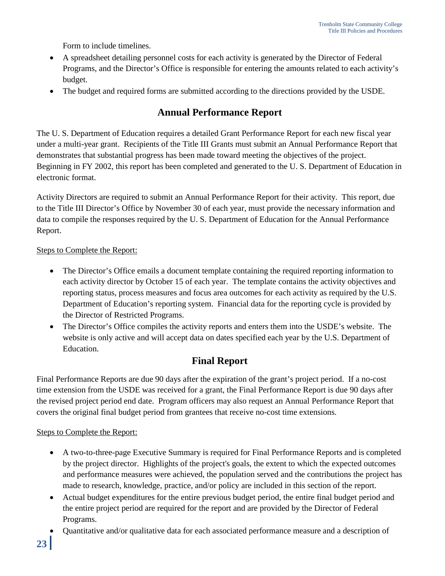Form to include timelines.

- A spreadsheet detailing personnel costs for each activity is generated by the Director of Federal Programs, and the Director's Office is responsible for entering the amounts related to each activity's budget.
- The budget and required forms are submitted according to the directions provided by the USDE.

### **Annual Performance Report**

The U. S. Department of Education requires a detailed Grant Performance Report for each new fiscal year under a multi-year grant. Recipients of the Title III Grants must submit an Annual Performance Report that demonstrates that substantial progress has been made toward meeting the objectives of the project. Beginning in FY 2002, this report has been completed and generated to the U. S. Department of Education in electronic format.

Activity Directors are required to submit an Annual Performance Report for their activity. This report, due to the Title III Director's Office by November 30 of each year, must provide the necessary information and data to compile the responses required by the U. S. Department of Education for the Annual Performance Report.

#### Steps to Complete the Report:

- The Director's Office emails a document template containing the required reporting information to each activity director by October 15 of each year. The template contains the activity objectives and reporting status, process measures and focus area outcomes for each activity as required by the U.S. Department of Education's reporting system. Financial data for the reporting cycle is provided by the Director of Restricted Programs.
- The Director's Office compiles the activity reports and enters them into the USDE's website. The website is only active and will accept data on dates specified each year by the U.S. Department of Education.

### **Final Report**

Final Performance Reports are due 90 days after the expiration of the grant's project period. If a no-cost time extension from the USDE was received for a grant, the Final Performance Report is due 90 days after the revised project period end date. Program officers may also request an Annual Performance Report that covers the original final budget period from grantees that receive no-cost time extensions.

#### Steps to Complete the Report:

- A two-to-three-page Executive Summary is required for Final Performance Reports and is completed by the project director. Highlights of the project's goals, the extent to which the expected outcomes and performance measures were achieved, the population served and the contributions the project has made to research, knowledge, practice, and/or policy are included in this section of the report.
- Actual budget expenditures for the entire previous budget period, the entire final budget period and the entire project period are required for the report and are provided by the Director of Federal Programs.
- Quantitative and/or qualitative data for each associated performance measure and a description of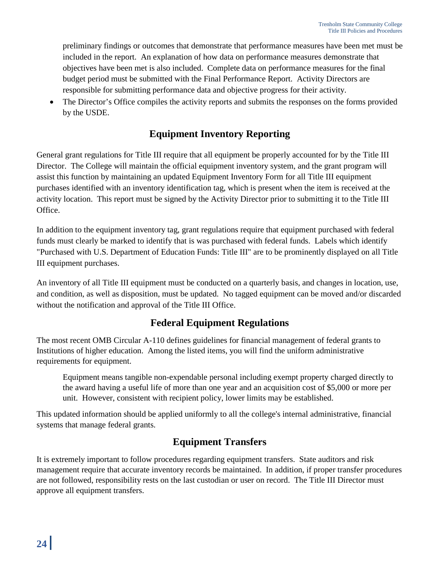preliminary findings or outcomes that demonstrate that performance measures have been met must be included in the report. An explanation of how data on performance measures demonstrate that objectives have been met is also included. Complete data on performance measures for the final budget period must be submitted with the Final Performance Report. Activity Directors are responsible for submitting performance data and objective progress for their activity.

The Director's Office compiles the activity reports and submits the responses on the forms provided by the USDE.

# **Equipment Inventory Reporting**

General grant regulations for Title III require that all equipment be properly accounted for by the Title III Director. The College will maintain the official equipment inventory system, and the grant program will assist this function by maintaining an updated Equipment Inventory Form for all Title III equipment purchases identified with an inventory identification tag, which is present when the item is received at the activity location. This report must be signed by the Activity Director prior to submitting it to the Title III Office.

In addition to the equipment inventory tag, grant regulations require that equipment purchased with federal funds must clearly be marked to identify that is was purchased with federal funds. Labels which identify "Purchased with U.S. Department of Education Funds: Title III" are to be prominently displayed on all Title III equipment purchases.

An inventory of all Title III equipment must be conducted on a quarterly basis, and changes in location, use, and condition, as well as disposition, must be updated. No tagged equipment can be moved and/or discarded without the notification and approval of the Title III Office.

# **Federal Equipment Regulations**

The most recent OMB Circular A-110 defines guidelines for financial management of federal grants to Institutions of higher education. Among the listed items, you will find the uniform administrative requirements for equipment.

Equipment means tangible non-expendable personal including exempt property charged directly to the award having a useful life of more than one year and an acquisition cost of \$5,000 or more per unit. However, consistent with recipient policy, lower limits may be established.

This updated information should be applied uniformly to all the college's internal administrative, financial systems that manage federal grants.

# **Equipment Transfers**

It is extremely important to follow procedures regarding equipment transfers. State auditors and risk management require that accurate inventory records be maintained. In addition, if proper transfer procedures are not followed, responsibility rests on the last custodian or user on record. The Title III Director must approve all equipment transfers.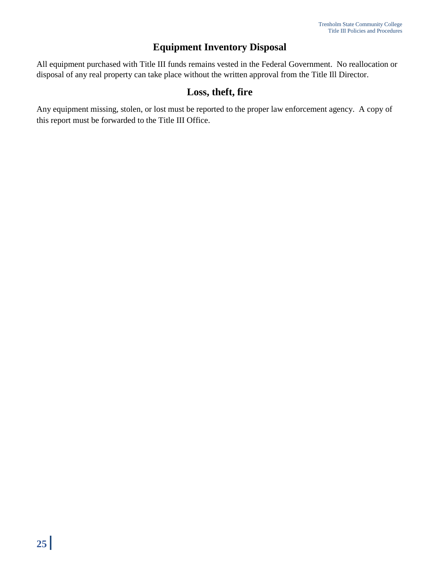# **Equipment Inventory Disposal**

All equipment purchased with Title III funds remains vested in the Federal Government. No reallocation or disposal of any real property can take place without the written approval from the Title Ill Director.

### **Loss, theft, fire**

Any equipment missing, stolen, or lost must be reported to the proper law enforcement agency. A copy of this report must be forwarded to the Title III Office.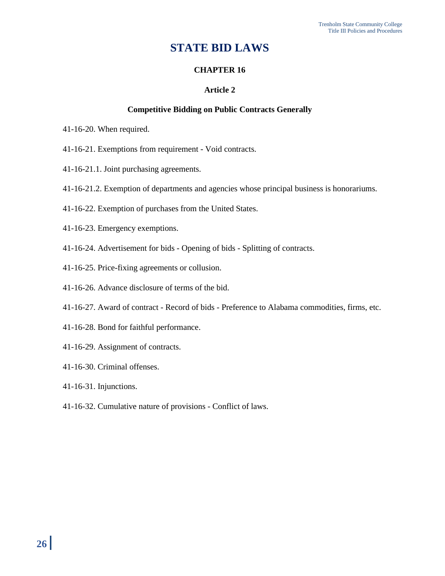# **STATE BID LAWS**

#### **CHAPTER 16**

#### **Article 2**

#### **Competitive Bidding on Public Contracts Generally**

- 41-16-20. When required.
- 41-16-21. Exemptions from requirement Void contracts.
- 41-16-21.1. Joint purchasing agreements.
- 41-16-21.2. Exemption of departments and agencies whose principal business is honorariums.
- 41-16-22. Exemption of purchases from the United States.
- 41-16-23. Emergency exemptions.
- 41-16-24. Advertisement for bids Opening of bids Splitting of contracts.
- 41-16-25. Price-fixing agreements or collusion.
- 41-16-26. Advance disclosure of terms of the bid.
- 41-16-27. Award of contract Record of bids Preference to Alabama commodities, firms, etc.
- 41-16-28. Bond for faithful performance.
- 41-16-29. Assignment of contracts.
- 41-16-30. Criminal offenses.
- 41-16-31. Injunctions.
- 41-16-32. Cumulative nature of provisions Conflict of laws.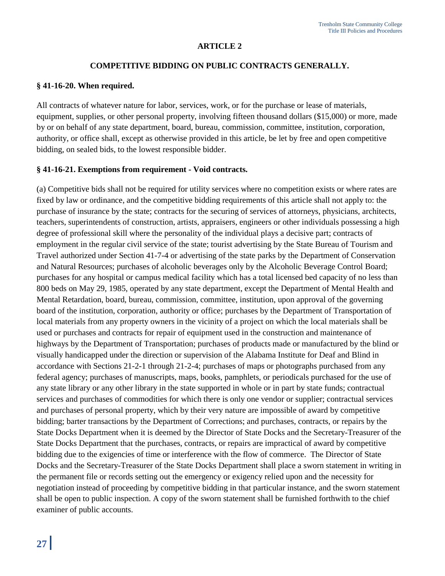#### **ARTICLE 2**

#### **COMPETITIVE BIDDING ON PUBLIC CONTRACTS GENERALLY.**

#### **§ 41-16-20. When required.**

All contracts of whatever nature for labor, services, work, or for the purchase or lease of materials, equipment, supplies, or other personal property, involving fifteen thousand dollars (\$15,000) or more, made by or on behalf of any state department, board, bureau, commission, committee, institution, corporation, authority, or office shall, except as otherwise provided in this article, be let by free and open competitive bidding, on sealed bids, to the lowest responsible bidder.

#### **§ 41-16-21. Exemptions from requirement - Void contracts.**

(a) Competitive bids shall not be required for utility services where no competition exists or where rates are fixed by law or ordinance, and the competitive bidding requirements of this article shall not apply to: the purchase of insurance by the state; contracts for the securing of services of attorneys, physicians, architects, teachers, superintendents of construction, artists, appraisers, engineers or other individuals possessing a high degree of professional skill where the personality of the individual plays a decisive part; contracts of employment in the regular civil service of the state; tourist advertising by the State Bureau of Tourism and Travel authorized under Section 41-7-4 or advertising of the state parks by the Department of Conservation and Natural Resources; purchases of alcoholic beverages only by the Alcoholic Beverage Control Board; purchases for any hospital or campus medical facility which has a total licensed bed capacity of no less than 800 beds on May 29, 1985, operated by any state department, except the Department of Mental Health and Mental Retardation, board, bureau, commission, committee, institution, upon approval of the governing board of the institution, corporation, authority or office; purchases by the Department of Transportation of local materials from any property owners in the vicinity of a project on which the local materials shall be used or purchases and contracts for repair of equipment used in the construction and maintenance of highways by the Department of Transportation; purchases of products made or manufactured by the blind or visually handicapped under the direction or supervision of the Alabama Institute for Deaf and Blind in accordance with Sections 21-2-1 through 21-2-4; purchases of maps or photographs purchased from any federal agency; purchases of manuscripts, maps, books, pamphlets, or periodicals purchased for the use of any state library or any other library in the state supported in whole or in part by state funds; contractual services and purchases of commodities for which there is only one vendor or supplier; contractual services and purchases of personal property, which by their very nature are impossible of award by competitive bidding; barter transactions by the Department of Corrections; and purchases, contracts, or repairs by the State Docks Department when it is deemed by the Director of State Docks and the Secretary-Treasurer of the State Docks Department that the purchases, contracts, or repairs are impractical of award by competitive bidding due to the exigencies of time or interference with the flow of commerce. The Director of State Docks and the Secretary-Treasurer of the State Docks Department shall place a sworn statement in writing in the permanent file or records setting out the emergency or exigency relied upon and the necessity for negotiation instead of proceeding by competitive bidding in that particular instance, and the sworn statement shall be open to public inspection. A copy of the sworn statement shall be furnished forthwith to the chief examiner of public accounts.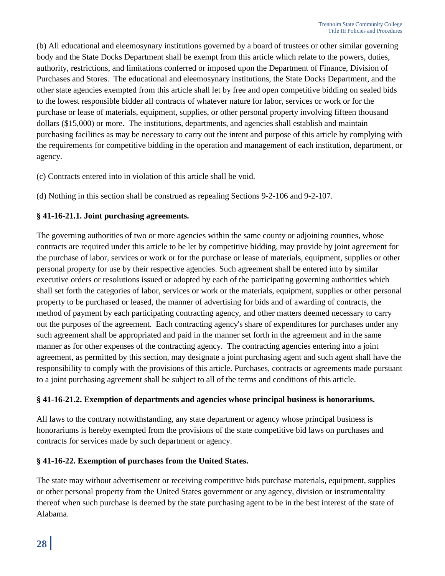(b) All educational and eleemosynary institutions governed by a board of trustees or other similar governing body and the State Docks Department shall be exempt from this article which relate to the powers, duties, authority, restrictions, and limitations conferred or imposed upon the Department of Finance, Division of Purchases and Stores. The educational and eleemosynary institutions, the State Docks Department, and the other state agencies exempted from this article shall let by free and open competitive bidding on sealed bids to the lowest responsible bidder all contracts of whatever nature for labor, services or work or for the purchase or lease of materials, equipment, supplies, or other personal property involving fifteen thousand dollars (\$15,000) or more. The institutions, departments, and agencies shall establish and maintain purchasing facilities as may be necessary to carry out the intent and purpose of this article by complying with the requirements for competitive bidding in the operation and management of each institution, department, or agency.

(c) Contracts entered into in violation of this article shall be void.

(d) Nothing in this section shall be construed as repealing Sections 9-2-106 and 9-2-107.

#### **§ 41-16-21.1. Joint purchasing agreements.**

The governing authorities of two or more agencies within the same county or adjoining counties, whose contracts are required under this article to be let by competitive bidding, may provide by joint agreement for the purchase of labor, services or work or for the purchase or lease of materials, equipment, supplies or other personal property for use by their respective agencies. Such agreement shall be entered into by similar executive orders or resolutions issued or adopted by each of the participating governing authorities which shall set forth the categories of labor, services or work or the materials, equipment, supplies or other personal property to be purchased or leased, the manner of advertising for bids and of awarding of contracts, the method of payment by each participating contracting agency, and other matters deemed necessary to carry out the purposes of the agreement. Each contracting agency's share of expenditures for purchases under any such agreement shall be appropriated and paid in the manner set forth in the agreement and in the same manner as for other expenses of the contracting agency. The contracting agencies entering into a joint agreement, as permitted by this section, may designate a joint purchasing agent and such agent shall have the responsibility to comply with the provisions of this article. Purchases, contracts or agreements made pursuant to a joint purchasing agreement shall be subject to all of the terms and conditions of this article.

#### **§ 41-16-21.2. Exemption of departments and agencies whose principal business is honorariums.**

All laws to the contrary notwithstanding, any state department or agency whose principal business is honorariums is hereby exempted from the provisions of the state competitive bid laws on purchases and contracts for services made by such department or agency.

#### **§ 41-16-22. Exemption of purchases from the United States.**

The state may without advertisement or receiving competitive bids purchase materials, equipment, supplies or other personal property from the United States government or any agency, division or instrumentality thereof when such purchase is deemed by the state purchasing agent to be in the best interest of the state of Alabama.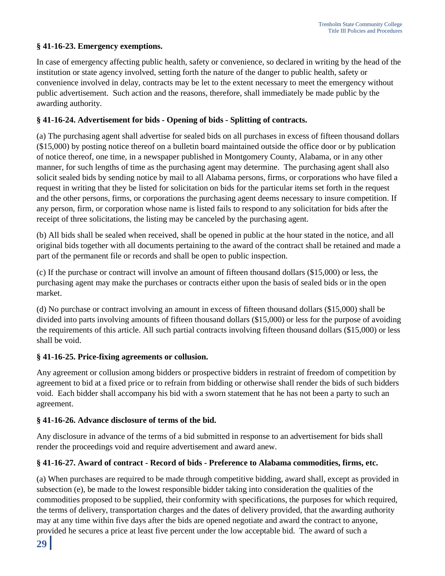#### **§ 41-16-23. Emergency exemptions.**

In case of emergency affecting public health, safety or convenience, so declared in writing by the head of the institution or state agency involved, setting forth the nature of the danger to public health, safety or convenience involved in delay, contracts may be let to the extent necessary to meet the emergency without public advertisement. Such action and the reasons, therefore, shall immediately be made public by the awarding authority.

#### **§ 41-16-24. Advertisement for bids - Opening of bids - Splitting of contracts.**

(a) The purchasing agent shall advertise for sealed bids on all purchases in excess of fifteen thousand dollars (\$15,000) by posting notice thereof on a bulletin board maintained outside the office door or by publication of notice thereof, one time, in a newspaper published in Montgomery County, Alabama, or in any other manner, for such lengths of time as the purchasing agent may determine. The purchasing agent shall also solicit sealed bids by sending notice by mail to all Alabama persons, firms, or corporations who have filed a request in writing that they be listed for solicitation on bids for the particular items set forth in the request and the other persons, firms, or corporations the purchasing agent deems necessary to insure competition. If any person, firm, or corporation whose name is listed fails to respond to any solicitation for bids after the receipt of three solicitations, the listing may be canceled by the purchasing agent.

(b) All bids shall be sealed when received, shall be opened in public at the hour stated in the notice, and all original bids together with all documents pertaining to the award of the contract shall be retained and made a part of the permanent file or records and shall be open to public inspection.

(c) If the purchase or contract will involve an amount of fifteen thousand dollars (\$15,000) or less, the purchasing agent may make the purchases or contracts either upon the basis of sealed bids or in the open market.

(d) No purchase or contract involving an amount in excess of fifteen thousand dollars (\$15,000) shall be divided into parts involving amounts of fifteen thousand dollars (\$15,000) or less for the purpose of avoiding the requirements of this article. All such partial contracts involving fifteen thousand dollars (\$15,000) or less shall be void.

#### **§ 41-16-25. Price-fixing agreements or collusion.**

Any agreement or collusion among bidders or prospective bidders in restraint of freedom of competition by agreement to bid at a fixed price or to refrain from bidding or otherwise shall render the bids of such bidders void. Each bidder shall accompany his bid with a sworn statement that he has not been a party to such an agreement.

#### **§ 41-16-26. Advance disclosure of terms of the bid.**

Any disclosure in advance of the terms of a bid submitted in response to an advertisement for bids shall render the proceedings void and require advertisement and award anew.

#### **§ 41-16-27. Award of contract - Record of bids - Preference to Alabama commodities, firms, etc.**

(a) When purchases are required to be made through competitive bidding, award shall, except as provided in subsection (e), be made to the lowest responsible bidder taking into consideration the qualities of the commodities proposed to be supplied, their conformity with specifications, the purposes for which required, the terms of delivery, transportation charges and the dates of delivery provided, that the awarding authority may at any time within five days after the bids are opened negotiate and award the contract to anyone, provided he secures a price at least five percent under the low acceptable bid. The award of such a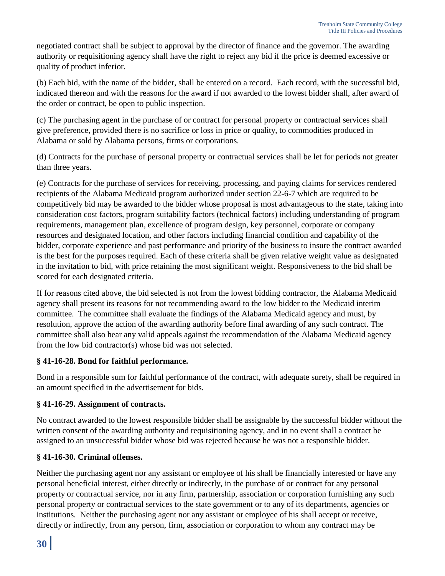negotiated contract shall be subject to approval by the director of finance and the governor. The awarding authority or requisitioning agency shall have the right to reject any bid if the price is deemed excessive or quality of product inferior.

(b) Each bid, with the name of the bidder, shall be entered on a record. Each record, with the successful bid, indicated thereon and with the reasons for the award if not awarded to the lowest bidder shall, after award of the order or contract, be open to public inspection.

(c) The purchasing agent in the purchase of or contract for personal property or contractual services shall give preference, provided there is no sacrifice or loss in price or quality, to commodities produced in Alabama or sold by Alabama persons, firms or corporations.

(d) Contracts for the purchase of personal property or contractual services shall be let for periods not greater than three years.

(e) Contracts for the purchase of services for receiving, processing, and paying claims for services rendered recipients of the Alabama Medicaid program authorized under section 22-6-7 which are required to be competitively bid may be awarded to the bidder whose proposal is most advantageous to the state, taking into consideration cost factors, program suitability factors (technical factors) including understanding of program requirements, management plan, excellence of program design, key personnel, corporate or company resources and designated location, and other factors including financial condition and capability of the bidder, corporate experience and past performance and priority of the business to insure the contract awarded is the best for the purposes required. Each of these criteria shall be given relative weight value as designated in the invitation to bid, with price retaining the most significant weight. Responsiveness to the bid shall be scored for each designated criteria.

If for reasons cited above, the bid selected is not from the lowest bidding contractor, the Alabama Medicaid agency shall present its reasons for not recommending award to the low bidder to the Medicaid interim committee. The committee shall evaluate the findings of the Alabama Medicaid agency and must, by resolution, approve the action of the awarding authority before final awarding of any such contract. The committee shall also hear any valid appeals against the recommendation of the Alabama Medicaid agency from the low bid contractor(s) whose bid was not selected.

#### **§ 41-16-28. Bond for faithful performance.**

Bond in a responsible sum for faithful performance of the contract, with adequate surety, shall be required in an amount specified in the advertisement for bids.

#### **§ 41-16-29. Assignment of contracts.**

No contract awarded to the lowest responsible bidder shall be assignable by the successful bidder without the written consent of the awarding authority and requisitioning agency, and in no event shall a contract be assigned to an unsuccessful bidder whose bid was rejected because he was not a responsible bidder.

#### **§ 41-16-30. Criminal offenses.**

Neither the purchasing agent nor any assistant or employee of his shall be financially interested or have any personal beneficial interest, either directly or indirectly, in the purchase of or contract for any personal property or contractual service, nor in any firm, partnership, association or corporation furnishing any such personal property or contractual services to the state government or to any of its departments, agencies or institutions. Neither the purchasing agent nor any assistant or employee of his shall accept or receive, directly or indirectly, from any person, firm, association or corporation to whom any contract may be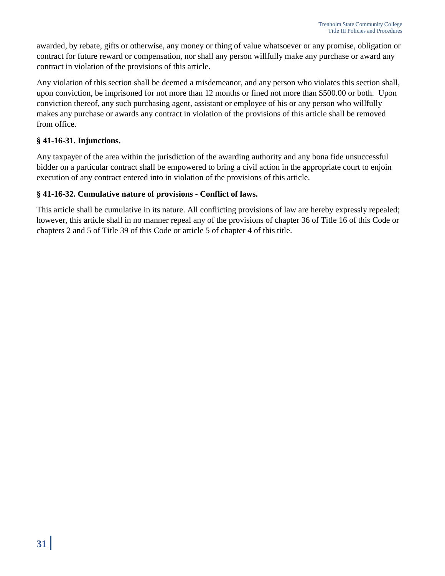awarded, by rebate, gifts or otherwise, any money or thing of value whatsoever or any promise, obligation or contract for future reward or compensation, nor shall any person willfully make any purchase or award any contract in violation of the provisions of this article.

Any violation of this section shall be deemed a misdemeanor, and any person who violates this section shall, upon conviction, be imprisoned for not more than 12 months or fined not more than \$500.00 or both. Upon conviction thereof, any such purchasing agent, assistant or employee of his or any person who willfully makes any purchase or awards any contract in violation of the provisions of this article shall be removed from office.

#### **§ 41-16-31. Injunctions.**

Any taxpayer of the area within the jurisdiction of the awarding authority and any bona fide unsuccessful bidder on a particular contract shall be empowered to bring a civil action in the appropriate court to enjoin execution of any contract entered into in violation of the provisions of this article.

#### **§ 41-16-32. Cumulative nature of provisions - Conflict of laws.**

This article shall be cumulative in its nature. All conflicting provisions of law are hereby expressly repealed; however, this article shall in no manner repeal any of the provisions of chapter 36 of Title 16 of this Code or chapters 2 and 5 of Title 39 of this Code or article 5 of chapter 4 of this title.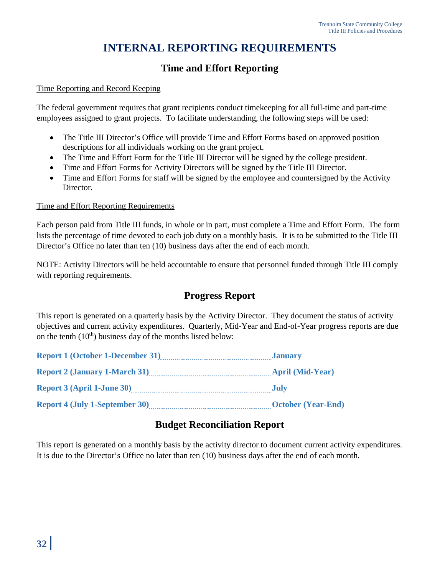# **INTERNAL REPORTING REQUIREMENTS**

# **Time and Effort Reporting**

#### Time Reporting and Record Keeping

The federal government requires that grant recipients conduct timekeeping for all full-time and part-time employees assigned to grant projects. To facilitate understanding, the following steps will be used:

- The Title III Director's Office will provide Time and Effort Forms based on approved position descriptions for all individuals working on the grant project.
- The Time and Effort Form for the Title III Director will be signed by the college president.
- Time and Effort Forms for Activity Directors will be signed by the Title III Director.
- Time and Effort Forms for staff will be signed by the employee and countersigned by the Activity Director.

#### Time and Effort Reporting Requirements

Each person paid from Title III funds, in whole or in part, must complete a Time and Effort Form. The form lists the percentage of time devoted to each job duty on a monthly basis. It is to be submitted to the Title III Director's Office no later than ten (10) business days after the end of each month.

NOTE: Activity Directors will be held accountable to ensure that personnel funded through Title III comply with reporting requirements.

# **Progress Report**

This report is generated on a quarterly basis by the Activity Director. They document the status of activity objectives and current activity expenditures. Quarterly, Mid-Year and End-of-Year progress reports are due on the tenth  $(10<sup>th</sup>)$  business day of the months listed below:

| Report 1 (October 1-December 31)      | <b>January</b>            |
|---------------------------------------|---------------------------|
| Report 2 (January 1-March 31)         | <b>April (Mid-Year)</b>   |
|                                       | - July                    |
| <b>Report 4 (July 1-September 30)</b> | <b>October (Year-End)</b> |

### **Budget Reconciliation Report**

This report is generated on a monthly basis by the activity director to document current activity expenditures. It is due to the Director's Office no later than ten (10) business days after the end of each month.